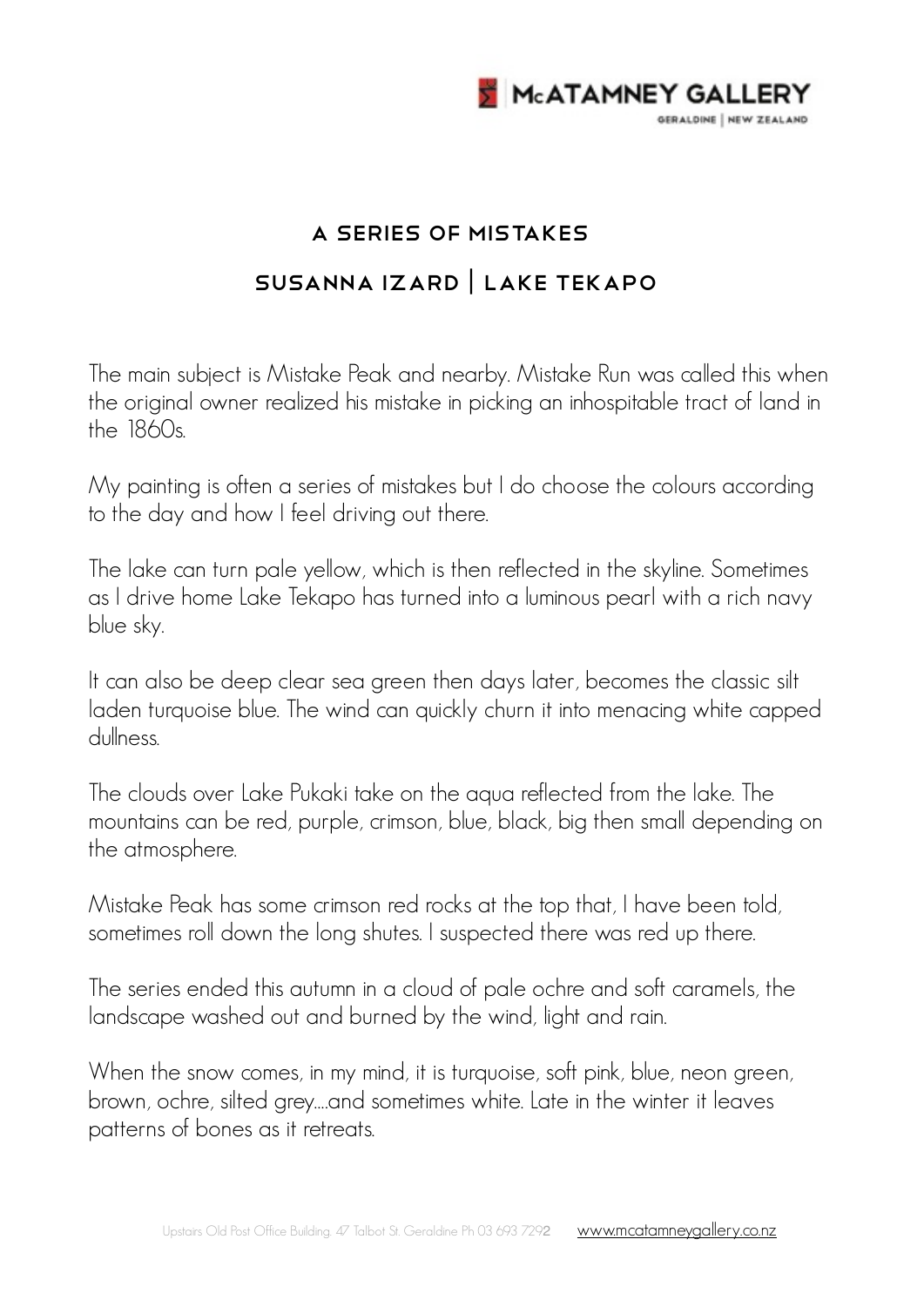

## A Series of Mistakes SUSANNA IZARD | LAKE TEKAPO

The main subject is Mistake Peak and nearby. Mistake Run was called this when the original owner realized his mistake in picking an inhospitable tract of land in the 1860s.

My painting is often a series of mistakes but I do choose the colours according to the day and how I feel driving out there.

The lake can turn pale yellow, which is then reflected in the skyline. Sometimes as I drive home Lake Tekapo has turned into a luminous pearl with a rich navy blue sky.

It can also be deep clear sea green then days later, becomes the classic silt laden turquoise blue. The wind can quickly churn it into menacing white capped dullness.

The clouds over Lake Pukaki take on the aqua reflected from the lake. The mountains can be red, purple, crimson, blue, black, big then small depending on the atmosphere.

Mistake Peak has some crimson red rocks at the top that, I have been told, sometimes roll down the long shutes. I suspected there was red up there.

The series ended this autumn in a cloud of pale ochre and soft caramels, the landscape washed out and burned by the wind, light and rain.

When the snow comes, in my mind, it is turquoise, soft pink, blue, neon green, brown, ochre, silted grey….and sometimes white. Late in the winter it leaves patterns of bones as it retreats.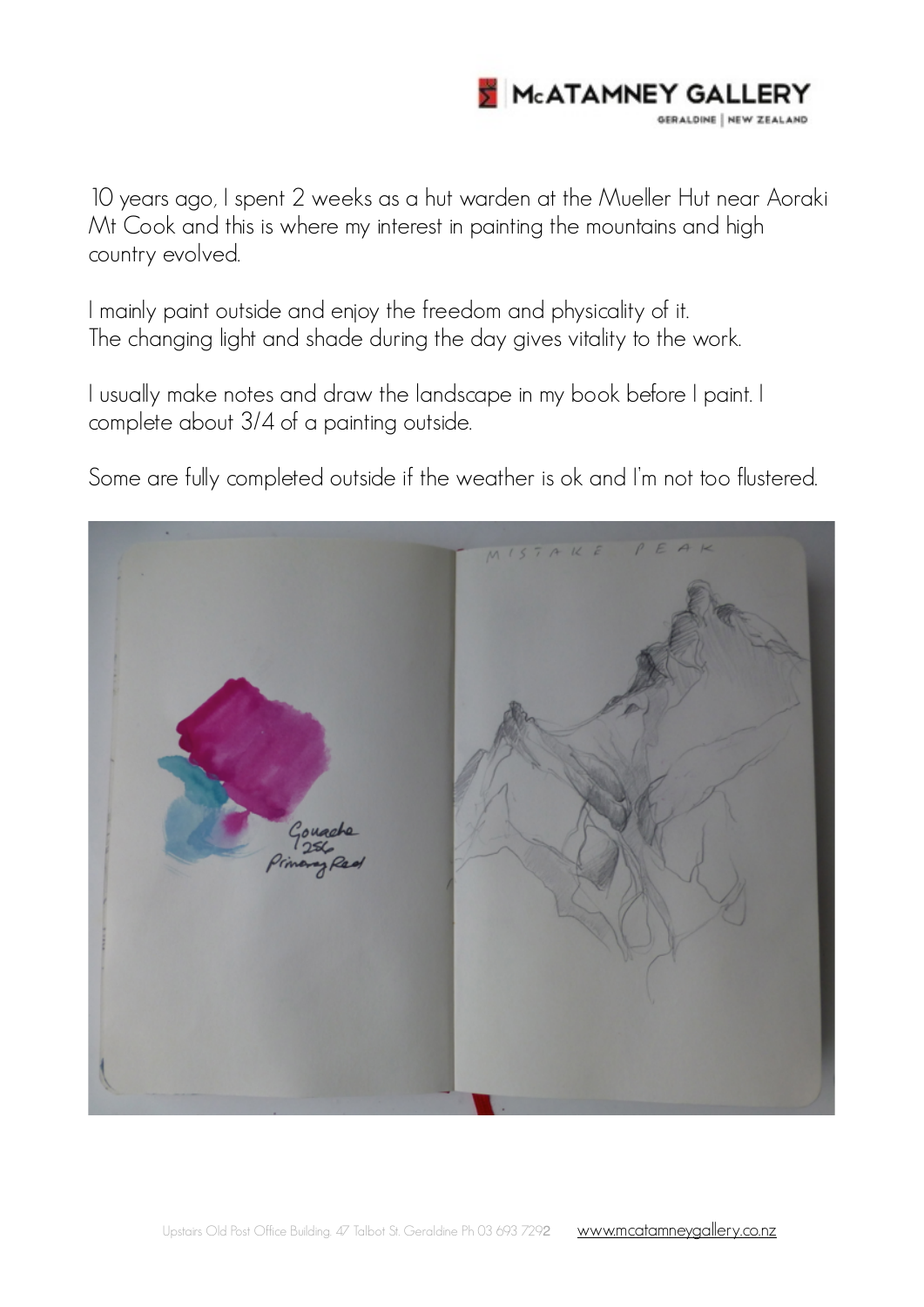

10 years ago, I spent 2 weeks as a hut warden at the Mueller Hut near Aoraki Mt Cook and this is where my interest in painting the mountains and high country evolved.

I mainly paint outside and enjoy the freedom and physicality of it. The changing light and shade during the day gives vitality to the work.

I usually make notes and draw the landscape in my book before I paint. I complete about 3/4 of a painting outside.

Some are fully completed outside if the weather is ok and I'm not too flustered.

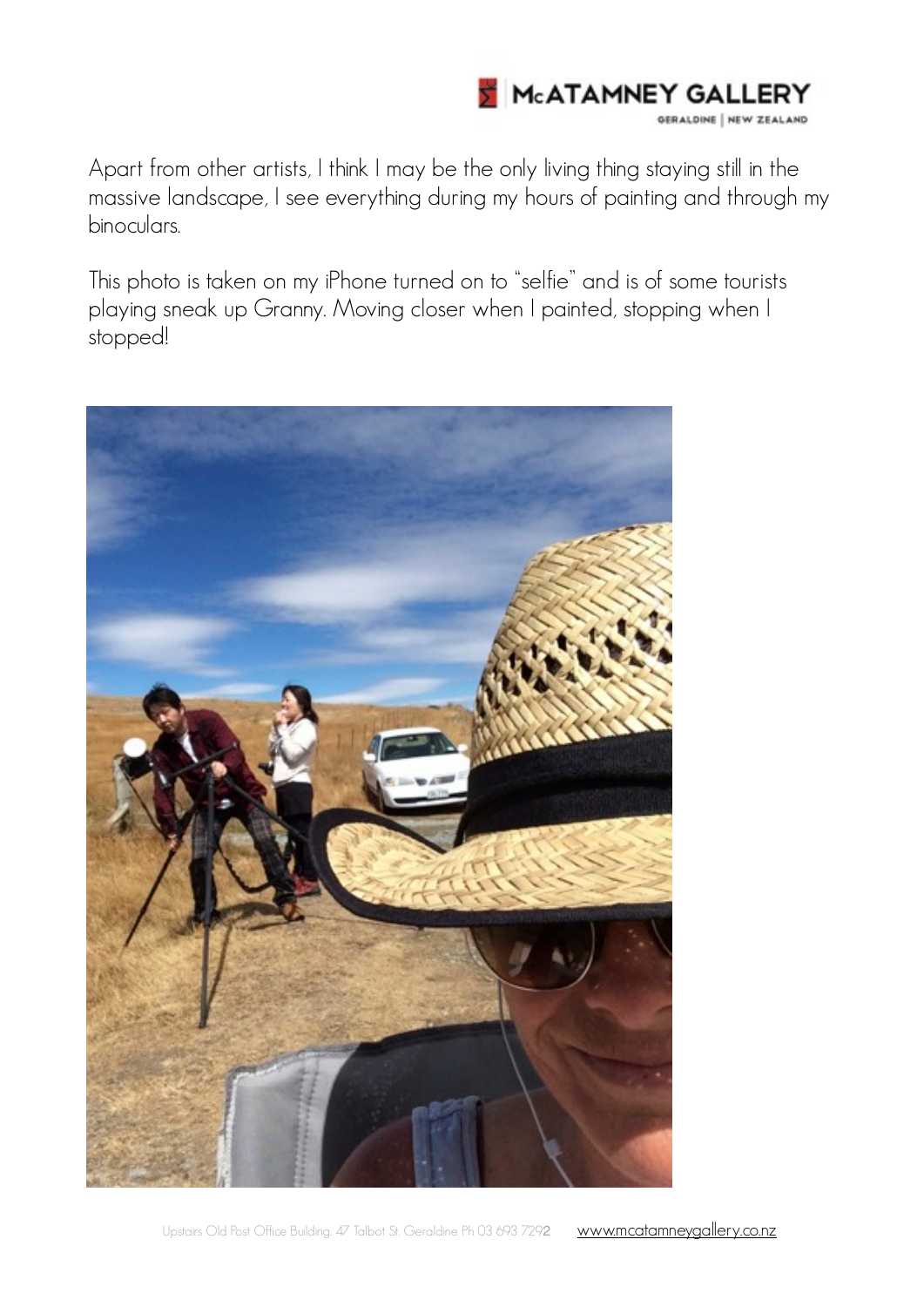

Apart from other artists, I think I may be the only living thing staying still in the massive landscape, I see everything during my hours of painting and through my binoculars.

This photo is taken on my iPhone turned on to "selfie" and is of some tourists playing sneak up Granny. Moving closer when I painted, stopping when I stopped!

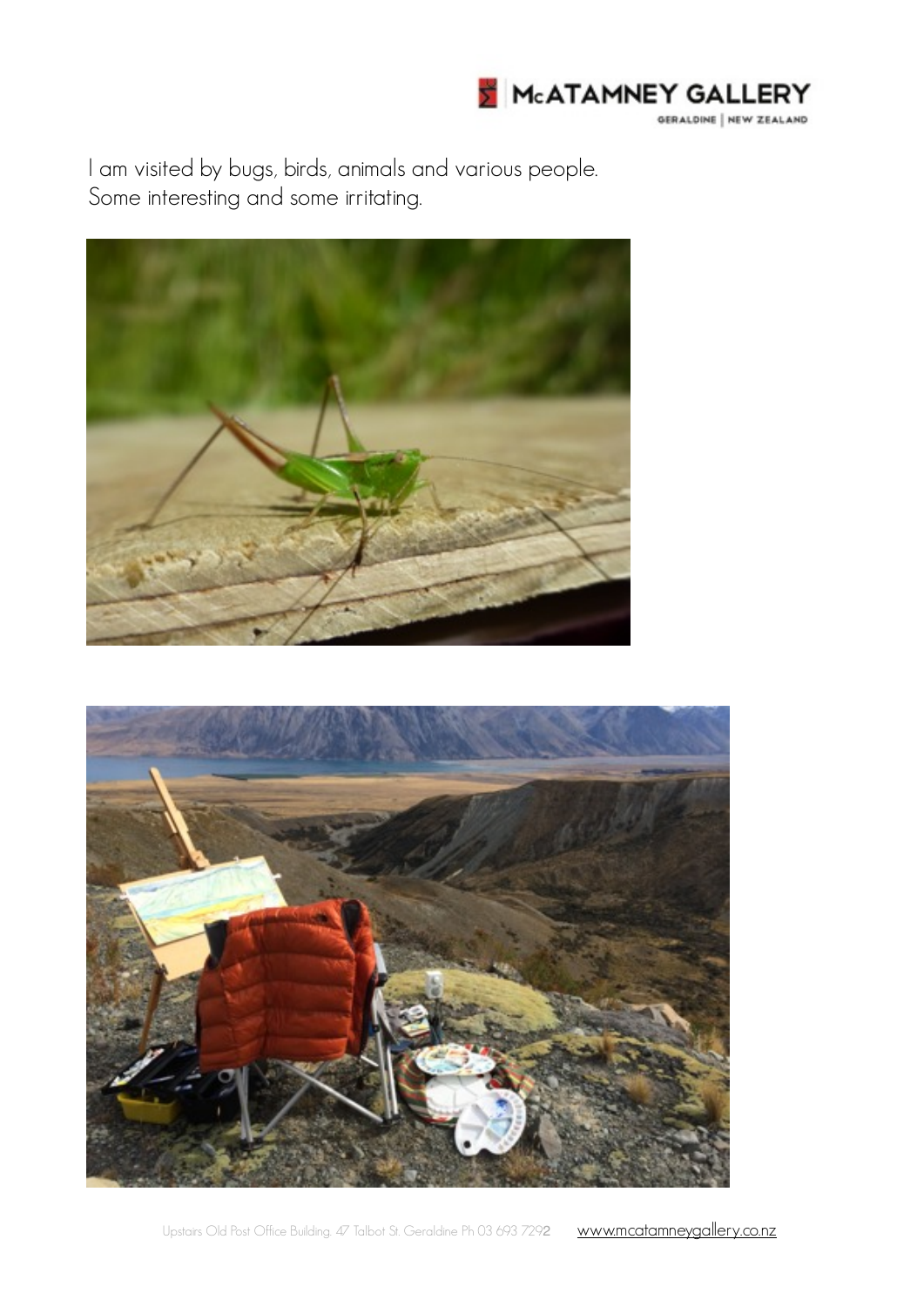

I am visited by bugs, birds, animals and various people. Some interesting and some irritating.



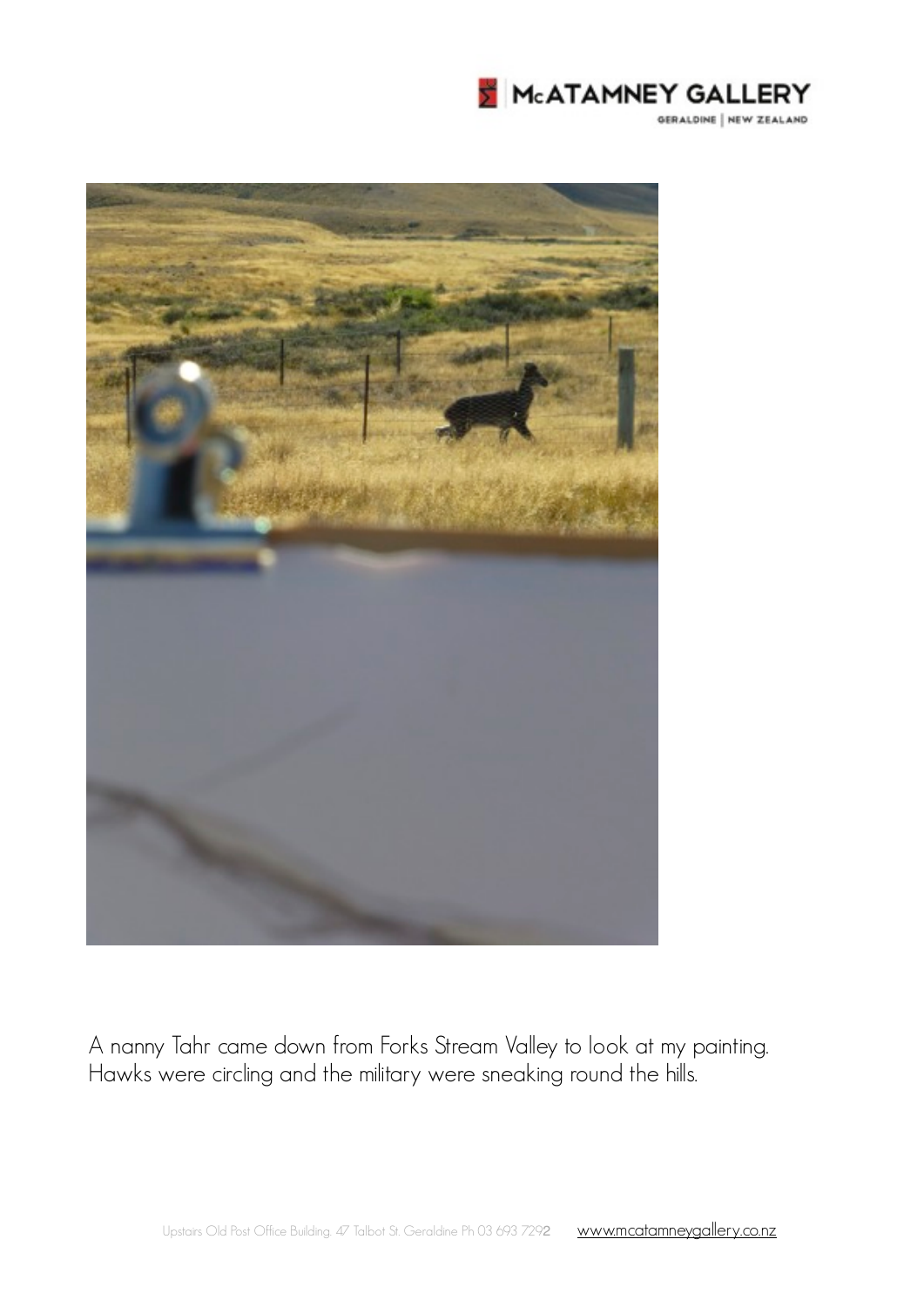



A nanny Tahr came down from Forks Stream Valley to look at my painting. Hawks were circling and the military were sneaking round the hills.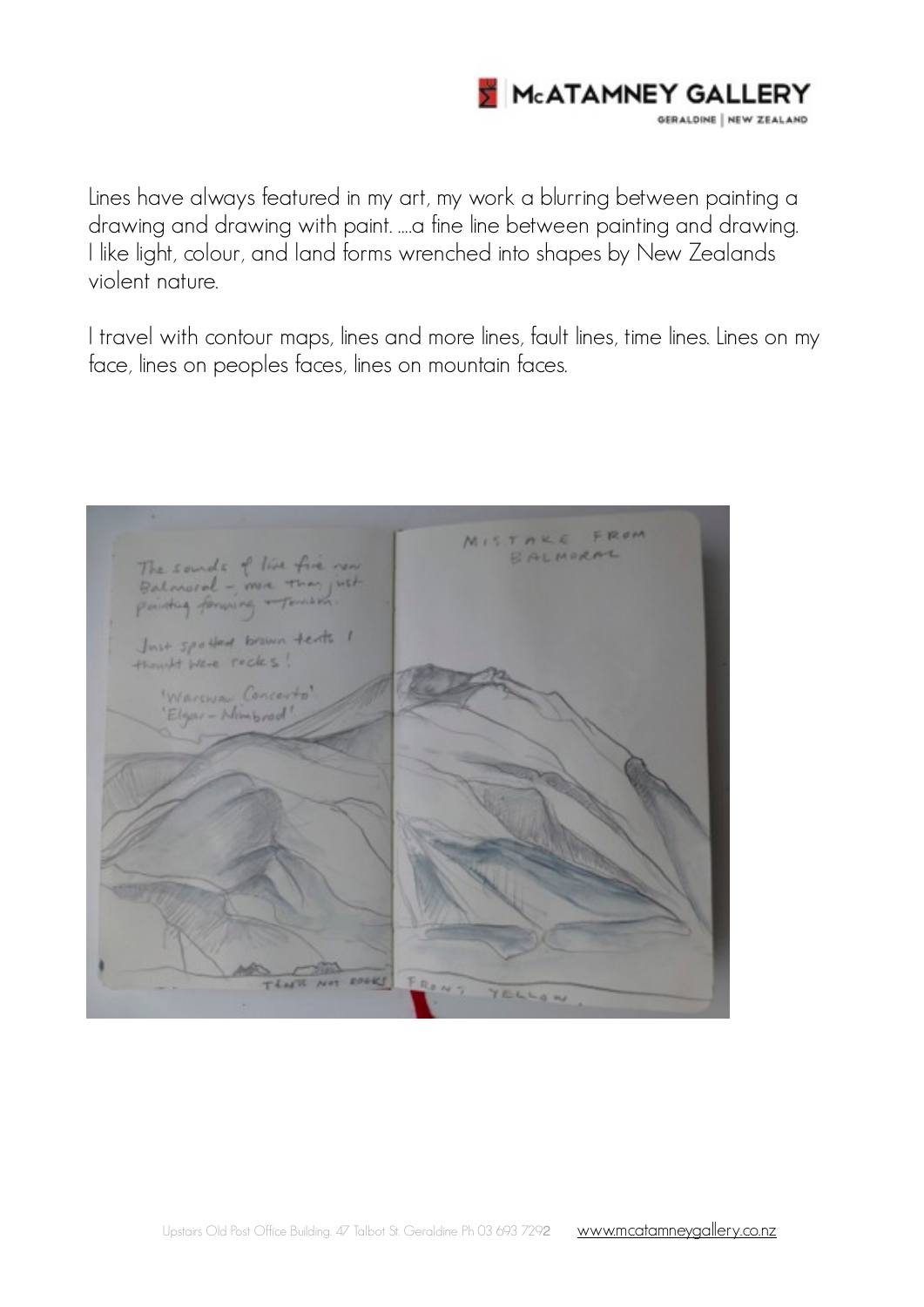

Lines have always featured in my art, my work a blurring between painting a drawing and drawing with paint. ….a fine line between painting and drawing. I like light, colour, and land forms wrenched into shapes by New Zealands violent nature.

I travel with contour maps, lines and more lines, fault lines, time lines. Lines on my face, lines on peoples faces, lines on mountain faces.

MISTARE FROM BALMORAL The sounds of live five new Balmoral - ma than just Tomation pointing forward Just spelled brown texts 1 Warena Concey Elgar - Nimbo